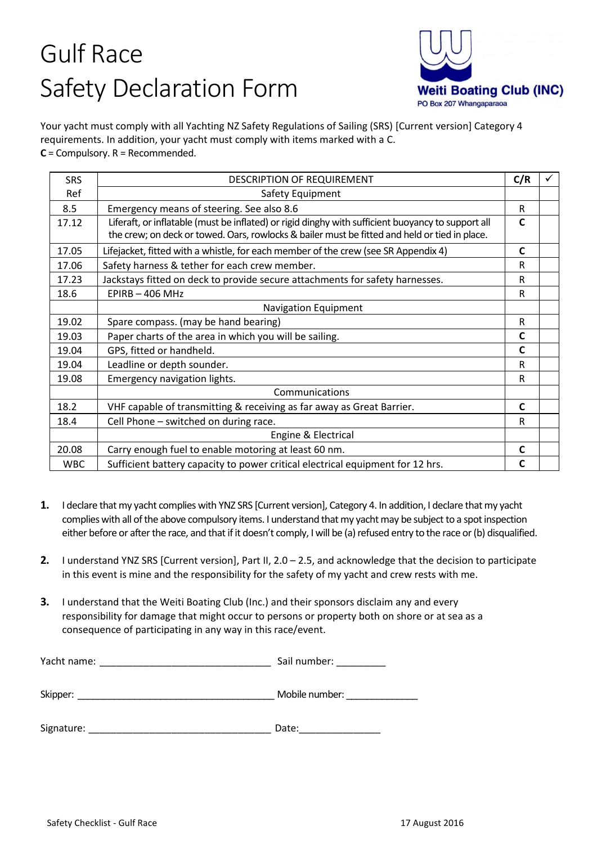## Gulf Race Safety Declaration Form



Your yacht must comply with all Yachting NZ Safety Regulations of Sailing (SRS) [Current version] Category 4 requirements. In addition, your yacht must comply with items marked with a C. **C** = Compulsory. R = Recommended.

| <b>SRS</b> | DESCRIPTION OF REQUIREMENT                                                                         | C/R          |  |
|------------|----------------------------------------------------------------------------------------------------|--------------|--|
| Ref        | Safety Equipment                                                                                   |              |  |
| 8.5        | Emergency means of steering. See also 8.6                                                          | R            |  |
| 17.12      | Liferaft, or inflatable (must be inflated) or rigid dinghy with sufficient buoyancy to support all | $\mathbf{C}$ |  |
|            | the crew; on deck or towed. Oars, rowlocks & bailer must be fitted and held or tied in place.      |              |  |
| 17.05      | Lifejacket, fitted with a whistle, for each member of the crew (see SR Appendix 4)                 | C            |  |
| 17.06      | Safety harness & tether for each crew member.                                                      | R            |  |
| 17.23      | Jackstays fitted on deck to provide secure attachments for safety harnesses.                       | R            |  |
| 18.6       | $EPIRB - 406 MHz$                                                                                  | R            |  |
|            | <b>Navigation Equipment</b>                                                                        |              |  |
| 19.02      | Spare compass. (may be hand bearing)                                                               | R            |  |
| 19.03      | Paper charts of the area in which you will be sailing.                                             | C            |  |
| 19.04      | GPS, fitted or handheld.                                                                           | $\mathbf C$  |  |
| 19.04      | Leadline or depth sounder.                                                                         | R            |  |
| 19.08      | Emergency navigation lights.                                                                       | R            |  |
|            | Communications                                                                                     |              |  |
| 18.2       | VHF capable of transmitting & receiving as far away as Great Barrier.                              | C            |  |
| 18.4       | Cell Phone - switched on during race.                                                              | R            |  |
|            | Engine & Electrical                                                                                |              |  |
| 20.08      | Carry enough fuel to enable motoring at least 60 nm.                                               | C            |  |
| <b>WBC</b> | Sufficient battery capacity to power critical electrical equipment for 12 hrs.                     | C            |  |
|            |                                                                                                    |              |  |

- **1.** I declare that my yacht complies with YNZ SRS [Current version], Category 4. In addition, I declare that my yacht complies with all of the above compulsory items. I understand that my yacht may be subject to a spot inspection either before or after the race, and that if it doesn't comply, I will be (a) refused entry to the race or (b) disqualified.
- **2.** I understand YNZ SRS [Current version], Part II, 2.0 2.5, and acknowledge that the decision to participate in this event is mine and the responsibility for the safety of my yacht and crew rests with me.
- **3.** I understand that the Weiti Boating Club (Inc.) and their sponsors disclaim any and every responsibility for damage that might occur to persons or property both on shore or at sea as a consequence of participating in any way in this race/event.

| Yacht name: | Sail number:   |
|-------------|----------------|
| Skipper:    | Mobile number: |
| Signature:  | Date:          |